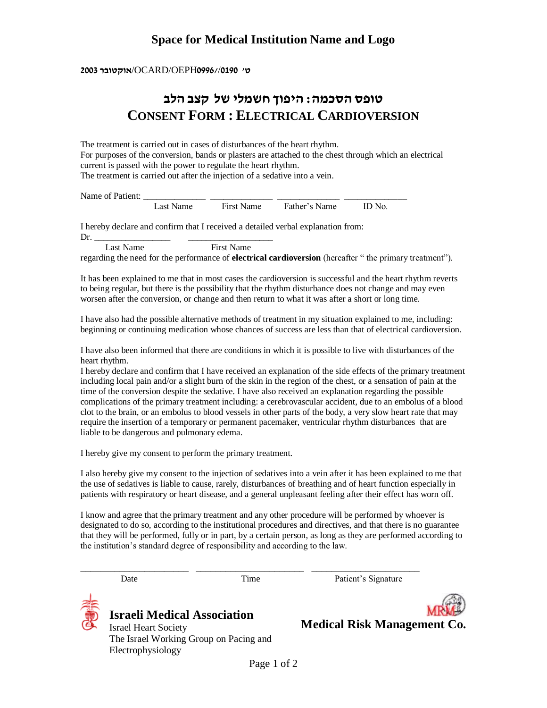## **Space for Medical Institution Name and Logo**

**ט' 0996/**/**0190**OEPH/OCARD/**אוקטובר 2003**

## **טופס הסכמה: היפוך חשמלי של קצב הלב CONSENT FORM : ELECTRICAL CARDIOVERSION**

The treatment is carried out in cases of disturbances of the heart rhythm. For purposes of the conversion, bands or plasters are attached to the chest through which an electrical current is passed with the power to regulate the heart rhythm. The treatment is carried out after the injection of a sedative into a vein.

Name of Patient: Last Name First Name Father's Name ID No.

I hereby declare and confirm that I received a detailed verbal explanation from:

Dr. \_\_\_\_\_\_\_\_\_\_\_\_\_\_\_\_\_ \_\_\_\_\_\_\_\_\_\_\_\_\_\_\_\_\_\_\_

Last Name First Name

regarding the need for the performance of **electrical cardioversion** (hereafter " the primary treatment").

It has been explained to me that in most cases the cardioversion is successful and the heart rhythm reverts to being regular, but there is the possibility that the rhythm disturbance does not change and may even worsen after the conversion, or change and then return to what it was after a short or long time.

I have also had the possible alternative methods of treatment in my situation explained to me, including: beginning or continuing medication whose chances of success are less than that of electrical cardioversion.

I have also been informed that there are conditions in which it is possible to live with disturbances of the heart rhythm.

I hereby declare and confirm that I have received an explanation of the side effects of the primary treatment including local pain and/or a slight burn of the skin in the region of the chest, or a sensation of pain at the time of the conversion despite the sedative. I have also received an explanation regarding the possible complications of the primary treatment including: a cerebrovascular accident, due to an embolus of a blood clot to the brain, or an embolus to blood vessels in other parts of the body, a very slow heart rate that may require the insertion of a temporary or permanent pacemaker, ventricular rhythm disturbances that are liable to be dangerous and pulmonary edema.

I hereby give my consent to perform the primary treatment.

I also hereby give my consent to the injection of sedatives into a vein after it has been explained to me that the use of sedatives is liable to cause, rarely, disturbances of breathing and of heart function especially in patients with respiratory or heart disease, and a general unpleasant feeling after their effect has worn off.

I know and agree that the primary treatment and any other procedure will be performed by whoever is designated to do so, according to the institutional procedures and directives, and that there is no guarantee that they will be performed, fully or in part, by a certain person, as long as they are performed according to the institution's standard degree of responsibility and according to the law.

\_\_\_\_\_\_\_\_\_\_\_\_\_\_\_\_\_\_\_\_\_\_ \_\_\_\_\_\_\_\_\_\_\_\_\_\_\_\_\_\_\_\_\_\_ \_\_\_\_\_\_\_\_\_\_\_\_\_\_\_\_\_\_\_\_\_\_

Date Time Patient's Signature



**Israeli Medical Association** Israel Heart Society The Israel Working Group on Pacing and Electrophysiology



**Medical Risk Management Co.**